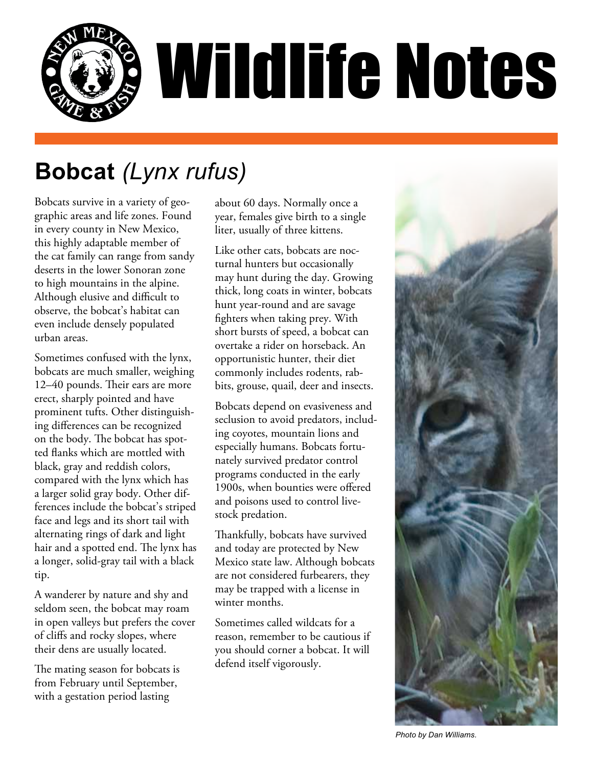

# **Bobcat** *(Lynx rufus)*

Bobcats survive in a variety of geographic areas and life zones. Found in every county in New Mexico, this highly adaptable member of the cat family can range from sandy deserts in the lower Sonoran zone to high mountains in the alpine. Although elusive and difficult to observe, the bobcat's habitat can even include densely populated urban areas.

Sometimes confused with the lynx, bobcats are much smaller, weighing 12–40 pounds. Their ears are more erect, sharply pointed and have prominent tufts. Other distinguishing differences can be recognized on the body. The bobcat has spotted flanks which are mottled with black, gray and reddish colors, compared with the lynx which has a larger solid gray body. Other differences include the bobcat's striped face and legs and its short tail with alternating rings of dark and light hair and a spotted end. The lynx has a longer, solid-gray tail with a black tip.

A wanderer by nature and shy and seldom seen, the bobcat may roam in open valleys but prefers the cover of cliffs and rocky slopes, where their dens are usually located.

The mating season for bobcats is from February until September, with a gestation period lasting

about 60 days. Normally once a year, females give birth to a single liter, usually of three kittens.

Like other cats, bobcats are nocturnal hunters but occasionally may hunt during the day. Growing thick, long coats in winter, bobcats hunt year-round and are savage fighters when taking prey. With short bursts of speed, a bobcat can overtake a rider on horseback. An opportunistic hunter, their diet commonly includes rodents, rabbits, grouse, quail, deer and insects.

Bobcats depend on evasiveness and seclusion to avoid predators, including coyotes, mountain lions and especially humans. Bobcats fortunately survived predator control programs conducted in the early 1900s, when bounties were offered and poisons used to control livestock predation.

Thankfully, bobcats have survived and today are protected by New Mexico state law. Although bobcats are not considered furbearers, they may be trapped with a license in winter months.

Sometimes called wildcats for a reason, remember to be cautious if you should corner a bobcat. It will defend itself vigorously.



*Photo by Dan Williams.*